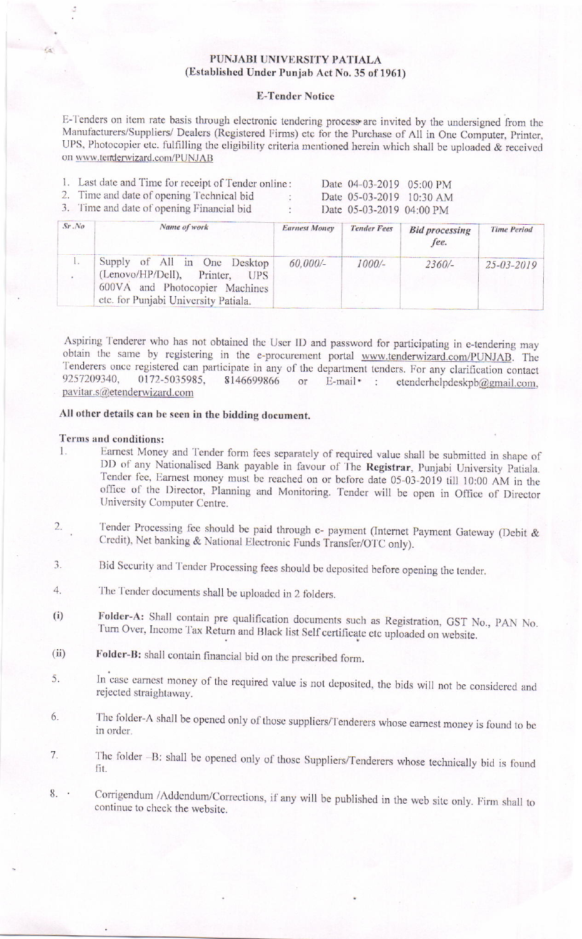### PUNJABI UNIVERSITY PATIALA (Established Under Punjab Act No. 35 of 1961)

#### **E-Tender Notice**

E-Tenders on item rate basis through electronic tendering process are invited by the undersigned from the Manufacturers/Suppliers/ Dealers (Registered Firms) etc for the Purchase of All in One Computer, Printer, UPS, Photocopier etc. fulfilling the eligibility criteria mentioned herein which shall be uploaded & received on www.tenderwizard.com/PUNJAB

|        | 1. Last date and Time for receipt of Tender online:<br>2. Time and date of opening Technical bid<br>3. Time and date of opening Financial bid | $\sim$               | Date 04-03-2019 05:00 PM<br>Date 05-03-2019 10:30 AM<br>Date 05-03-2019 04:00 PM |                               |  |
|--------|-----------------------------------------------------------------------------------------------------------------------------------------------|----------------------|----------------------------------------------------------------------------------|-------------------------------|--|
| Sr. No | Name of work                                                                                                                                  | <b>Earnest Money</b> | <b>Tender Fees</b>                                                               | <b>Bid processing</b><br>fee. |  |

|                                                                                                                                          |            |          | fee.     |                  |
|------------------------------------------------------------------------------------------------------------------------------------------|------------|----------|----------|------------------|
| Supply of All in One Desktop<br>(Lenovo/HP/Dell), Printer, UPS<br>600VA and Photocopier Machines<br>etc. for Punjabi University Patiala. | $60,000/-$ | $1000/-$ | $2360/-$ | $25 - 03 - 2019$ |

**Time Period** 

Aspiring Tenderer who has not obtained the User ID and password for participating in e-tendering may obtain the same by registering in the e-procurement portal www.tenderwizard.com/PUNJAB. The Tenderers once registered can participate in any of the department tenders. For any clarification contact 9257209340, 0172-5035985. 8146699866 E-mail • : etenderhelpdeskpb@gmail.com,  $or$ pavitar.s@etenderwizard.com

# All other details can be seen in the bidding document.

### Terms and conditions:

- Earnest Money and Tender form fees separately of required value shall be submitted in shape of  $1.$ DD of any Nationalised Bank payable in favour of The Registrar, Punjabi University Patiala. Tender fee, Earnest money must be reached on or before date 05-03-2019 till 10:00 AM in the office of the Director, Planning and Monitoring. Tender will be open in Office of Director University Computer Centre.
- Tender Processing fee should be paid through e- payment (Internet Payment Gateway (Debit &  $2.$ Credit), Net banking & National Electronic Funds Transfer/OTC only).
- Bid Security and Tender Processing fees should be deposited before opening the tender.  $\overline{3}$ .
- $4.$ The Tender documents shall be uploaded in 2 folders.
- Folder-A: Shall contain pre qualification documents such as Registration, GST No., PAN No.  $(i)$ Turn Over, Income Tax Return and Black list Self certificate etc uploaded on website.
- Folder-B: shall contain financial bid on the prescribed form.  $(ii)$
- In case earnest money of the required value is not deposited, the bids will not be considered and 5. rejected straightaway.
- The folder-A shall be opened only of those suppliers/Tenderers whose earnest money is found to be 6. in order.
- The folder -B: shall be opened only of those Suppliers/Tenderers whose technically bid is found 7. fit.
- Corrigendum /Addendum/Corrections, if any will be published in the web site only. Firm shall to  $8.$ continue to check the website.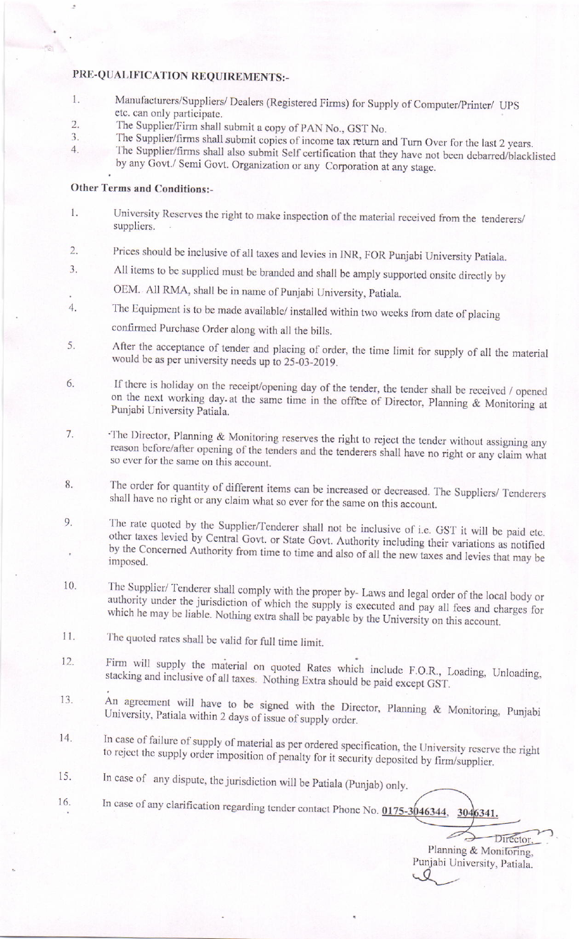## PRE-QUALIFICATION REQUIREMENTS:-

- Manufacturers/Suppliers/ Dealers (Registered Firms) for Supply of Computer/Printer/ UPS  $1.$ etc. can only participate.
- $\overline{2}$ The Supplier/Firm shall submit a copy of PAN No., GST No.
- The Supplier/firms shall submit copies of income tax return and Turn Over for the last 2 years.  $3.$  $\overline{4}$ .
	- The Supplier/firms shall also submit Self certification that they have not been debarred/blacklisted by any Govt./ Semi Govt. Organization or any Corporation at any stage.

## **Other Terms and Conditions:-**

- University Reserves the right to make inspection of the material received from the tenderers/ 1. suppliers.
- Prices should be inclusive of all taxes and levies in INR, FOR Punjabi University Patiala.  $\overline{2}$ .
- All items to be supplied must be branded and shall be amply supported onsite directly by 3.
- OEM. All RMA, shall be in name of Punjabi University, Patiala.
- The Equipment is to be made available/ installed within two weeks from date of placing 4.
	- confirmed Purchase Order along with all the bills.
- After the acceptance of tender and placing of order, the time limit for supply of all the material 5. would be as per university needs up to 25-03-2019.
- If there is holiday on the receipt/opening day of the tender, the tender shall be received / opened 6. on the next working day at the same time in the office of Director, Planning & Monitoring at Punjabi University Patiala.
- The Director, Planning & Monitoring reserves the right to reject the tender without assigning any 7. reason before/after opening of the tenders and the tenderers shall have no right or any claim what so ever for the same on this account.
- The order for quantity of different items can be increased or decreased. The Suppliers/ Tenderers 8. shall have no right or any claim what so ever for the same on this account.
- The rate quoted by the Supplier/Tenderer shall not be inclusive of i.e. GST it will be paid etc. 9. other taxes levied by Central Govt. or State Govt. Authority including their variations as notified by the Concerned Authority from time to time and also of all the new taxes and levies that may be imposed.
- The Supplier/ Tenderer shall comply with the proper by- Laws and legal order of the local body or 10. authority under the jurisdiction of which the supply is executed and pay all fees and charges for which he may be liable. Nothing extra shall be payable by the University on this account.
- 11. The quoted rates shall be valid for full time limit.
- Firm will supply the material on quoted Rates which include F.O.R., Loading, Unloading, 12. stacking and inclusive of all taxes. Nothing Extra should be paid except GST.
- An agreement will have to be signed with the Director, Planning & Monitoring, Punjabi 13. University, Patiala within 2 days of issue of supply order.
- In case of failure of supply of material as per ordered specification, the University reserve the right 14. to reject the supply order imposition of penalty for it security deposited by firm/supplier.
- In case of any dispute, the jurisdiction will be Patiala (Punjab) only. 15.
- In case of any clarification regarding tender contact Phone No.  $0.0175-3046344$ ,  $3046341$ . 16.

Director, Planning & Monitoring, Punjabi University, Patiala.  $Q$